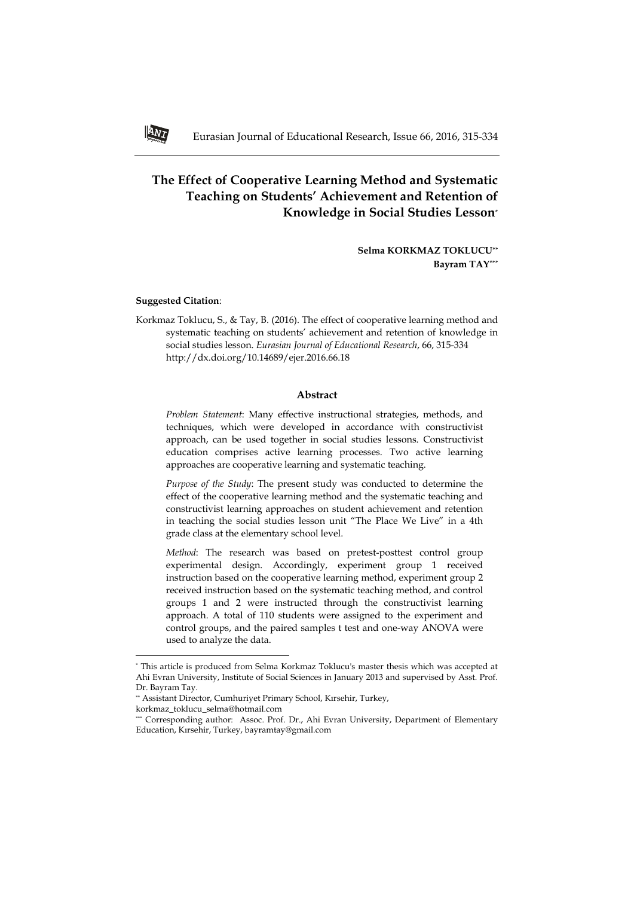# **The Effect of Cooperative Learning Method and Systematic Teaching on Students' Achievement and Retention of Knowledge in Social Studies Lesson\***

**Selma KORKMAZ TOKLUCU\*\* Bayram TAY\*\*\***

#### **Suggested Citation**:

Korkmaz Toklucu, S., & Tay, B. (2016). The effect of cooperative learning method and systematic teaching on students' achievement and retention of knowledge in social studies lesson. *Eurasian Journal of Educational Research*, 66, 315-334 http://dx.doi.org/10.14689/ejer.2016.66.18

## **Abstract**

*Problem Statement*: Many effective instructional strategies, methods, and techniques, which were developed in accordance with constructivist approach, can be used together in social studies lessons. Constructivist education comprises active learning processes. Two active learning approaches are cooperative learning and systematic teaching.

*Purpose of the Study*: The present study was conducted to determine the effect of the cooperative learning method and the systematic teaching and constructivist learning approaches on student achievement and retention in teaching the social studies lesson unit "The Place We Live" in a 4th grade class at the elementary school level.

*Method*: The research was based on pretest-posttest control group experimental design. Accordingly, experiment group 1 received instruction based on the cooperative learning method, experiment group 2 received instruction based on the systematic teaching method, and control groups 1 and 2 were instructed through the constructivist learning approach. A total of 110 students were assigned to the experiment and control groups, and the paired samples t test and one-way ANOVA were used to analyze the data.

 $\overline{\phantom{a}}$ 



<sup>\*</sup> This article is produced from Selma Korkmaz Toklucu's master thesis which was accepted at Ahi Evran University, Institute of Social Sciences in January 2013 and supervised by Asst. Prof. Dr. Bayram Tay.

<sup>\*\*</sup> Assistant Director, Cumhuriyet Primary School, Kırsehir, Turkey,

korkmaz\_toklucu\_selma@hotmail.com

<sup>\*\*\*</sup> Corresponding author: Assoc. Prof. Dr., Ahi Evran University, Department of Elementary Education, Kırsehir, Turkey, bayramtay@gmail.com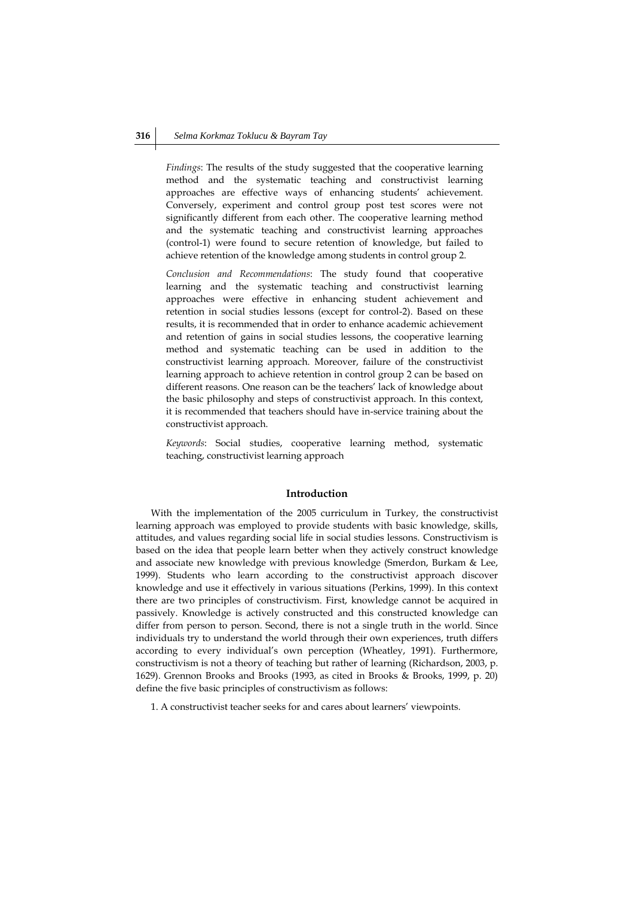*Findings*: The results of the study suggested that the cooperative learning method and the systematic teaching and constructivist learning approaches are effective ways of enhancing students' achievement. Conversely, experiment and control group post test scores were not significantly different from each other. The cooperative learning method and the systematic teaching and constructivist learning approaches (control-1) were found to secure retention of knowledge, but failed to achieve retention of the knowledge among students in control group 2.

*Conclusion and Recommendations*: The study found that cooperative learning and the systematic teaching and constructivist learning approaches were effective in enhancing student achievement and retention in social studies lessons (except for control-2). Based on these results, it is recommended that in order to enhance academic achievement and retention of gains in social studies lessons, the cooperative learning method and systematic teaching can be used in addition to the constructivist learning approach. Moreover, failure of the constructivist learning approach to achieve retention in control group 2 can be based on different reasons. One reason can be the teachers' lack of knowledge about the basic philosophy and steps of constructivist approach. In this context, it is recommended that teachers should have in-service training about the constructivist approach.

*Keywords*: Social studies, cooperative learning method, systematic teaching, constructivist learning approach

#### **Introduction**

With the implementation of the 2005 curriculum in Turkey, the constructivist learning approach was employed to provide students with basic knowledge, skills, attitudes, and values regarding social life in social studies lessons. Constructivism is based on the idea that people learn better when they actively construct knowledge and associate new knowledge with previous knowledge (Smerdon, Burkam & Lee, 1999). Students who learn according to the constructivist approach discover knowledge and use it effectively in various situations (Perkins, 1999). In this context there are two principles of constructivism. First, knowledge cannot be acquired in passively. Knowledge is actively constructed and this constructed knowledge can differ from person to person. Second, there is not a single truth in the world. Since individuals try to understand the world through their own experiences, truth differs according to every individual's own perception (Wheatley, 1991). Furthermore, constructivism is not a theory of teaching but rather of learning (Richardson, 2003, p. 1629). Grennon Brooks and Brooks (1993, as cited in Brooks & Brooks, 1999, p. 20) define the five basic principles of constructivism as follows:

1. A constructivist teacher seeks for and cares about learners' viewpoints.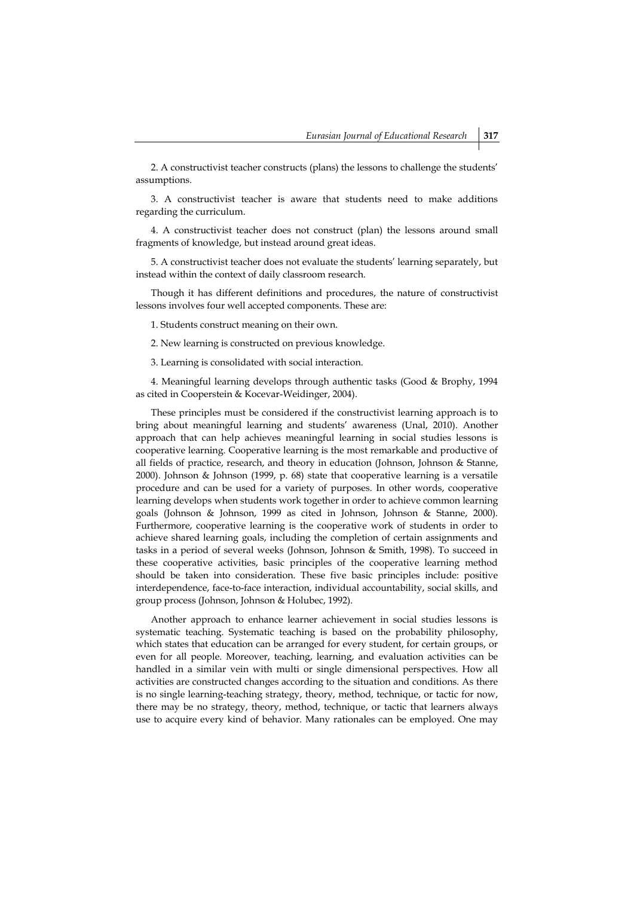2. A constructivist teacher constructs (plans) the lessons to challenge the students' assumptions.

3. A constructivist teacher is aware that students need to make additions regarding the curriculum.

4. A constructivist teacher does not construct (plan) the lessons around small fragments of knowledge, but instead around great ideas.

5. A constructivist teacher does not evaluate the students' learning separately, but instead within the context of daily classroom research.

Though it has different definitions and procedures, the nature of constructivist lessons involves four well accepted components. These are:

1. Students construct meaning on their own.

2. New learning is constructed on previous knowledge.

3. Learning is consolidated with social interaction.

4. Meaningful learning develops through authentic tasks (Good & Brophy, 1994 as cited in Cooperstein & Kocevar-Weidinger, 2004).

These principles must be considered if the constructivist learning approach is to bring about meaningful learning and students' awareness (Unal, 2010). Another approach that can help achieves meaningful learning in social studies lessons is cooperative learning. Cooperative learning is the most remarkable and productive of all fields of practice, research, and theory in education (Johnson, Johnson & Stanne, 2000). Johnson & Johnson (1999, p. 68) state that cooperative learning is a versatile procedure and can be used for a variety of purposes. In other words, cooperative learning develops when students work together in order to achieve common learning goals (Johnson & Johnson, 1999 as cited in Johnson, Johnson & Stanne, 2000). Furthermore, cooperative learning is the cooperative work of students in order to achieve shared learning goals, including the completion of certain assignments and tasks in a period of several weeks (Johnson, Johnson & Smith, 1998). To succeed in these cooperative activities, basic principles of the cooperative learning method should be taken into consideration. These five basic principles include: positive interdependence, face-to-face interaction, individual accountability, social skills, and group process (Johnson, Johnson & Holubec, 1992).

Another approach to enhance learner achievement in social studies lessons is systematic teaching. Systematic teaching is based on the probability philosophy, which states that education can be arranged for every student, for certain groups, or even for all people. Moreover, teaching, learning, and evaluation activities can be handled in a similar vein with multi or single dimensional perspectives. How all activities are constructed changes according to the situation and conditions. As there is no single learning-teaching strategy, theory, method, technique, or tactic for now, there may be no strategy, theory, method, technique, or tactic that learners always use to acquire every kind of behavior. Many rationales can be employed. One may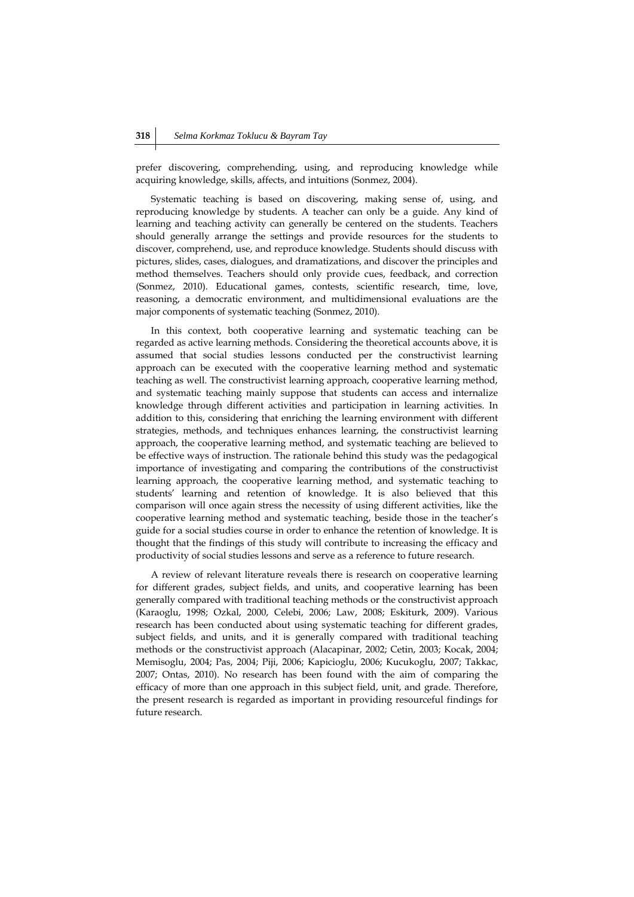prefer discovering, comprehending, using, and reproducing knowledge while acquiring knowledge, skills, affects, and intuitions (Sonmez, 2004).

Systematic teaching is based on discovering, making sense of, using, and reproducing knowledge by students. A teacher can only be a guide. Any kind of learning and teaching activity can generally be centered on the students. Teachers should generally arrange the settings and provide resources for the students to discover, comprehend, use, and reproduce knowledge. Students should discuss with pictures, slides, cases, dialogues, and dramatizations, and discover the principles and method themselves. Teachers should only provide cues, feedback, and correction (Sonmez, 2010). Educational games, contests, scientific research, time, love, reasoning, a democratic environment, and multidimensional evaluations are the major components of systematic teaching (Sonmez, 2010).

In this context, both cooperative learning and systematic teaching can be regarded as active learning methods. Considering the theoretical accounts above, it is assumed that social studies lessons conducted per the constructivist learning approach can be executed with the cooperative learning method and systematic teaching as well. The constructivist learning approach, cooperative learning method, and systematic teaching mainly suppose that students can access and internalize knowledge through different activities and participation in learning activities. In addition to this, considering that enriching the learning environment with different strategies, methods, and techniques enhances learning, the constructivist learning approach, the cooperative learning method, and systematic teaching are believed to be effective ways of instruction. The rationale behind this study was the pedagogical importance of investigating and comparing the contributions of the constructivist learning approach, the cooperative learning method, and systematic teaching to students' learning and retention of knowledge. It is also believed that this comparison will once again stress the necessity of using different activities, like the cooperative learning method and systematic teaching, beside those in the teacher's guide for a social studies course in order to enhance the retention of knowledge. It is thought that the findings of this study will contribute to increasing the efficacy and productivity of social studies lessons and serve as a reference to future research.

A review of relevant literature reveals there is research on cooperative learning for different grades, subject fields, and units, and cooperative learning has been generally compared with traditional teaching methods or the constructivist approach (Karaoglu, 1998; Ozkal, 2000, Celebi, 2006; Law, 2008; Eskiturk, 2009). Various research has been conducted about using systematic teaching for different grades, subject fields, and units, and it is generally compared with traditional teaching methods or the constructivist approach (Alacapinar, 2002; Cetin, 2003; Kocak, 2004; Memisoglu, 2004; Pas, 2004; Piji, 2006; Kapicioglu, 2006; Kucukoglu, 2007; Takkac, 2007; Ontas, 2010). No research has been found with the aim of comparing the efficacy of more than one approach in this subject field, unit, and grade. Therefore, the present research is regarded as important in providing resourceful findings for future research.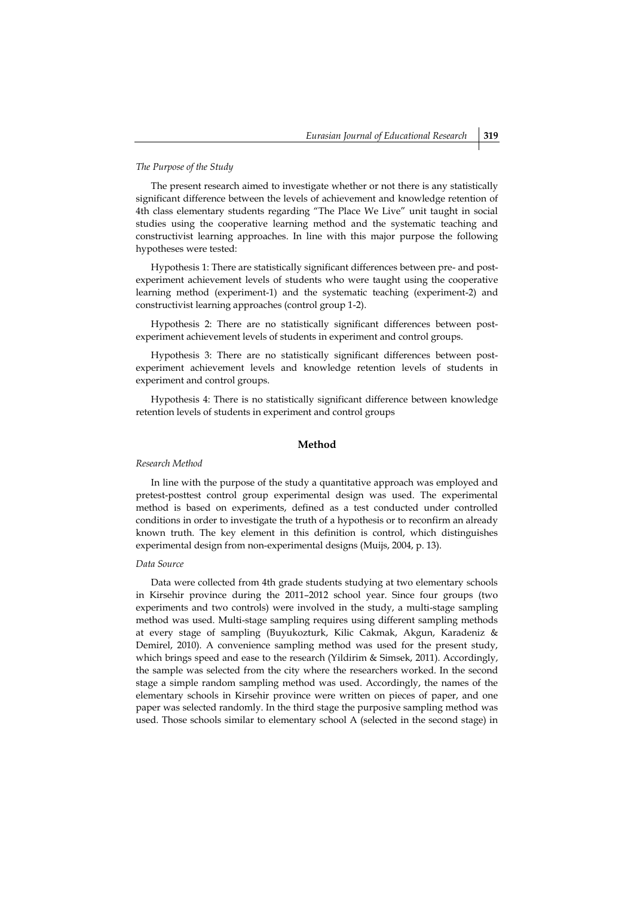#### *The Purpose of the Study*

The present research aimed to investigate whether or not there is any statistically significant difference between the levels of achievement and knowledge retention of 4th class elementary students regarding "The Place We Live" unit taught in social studies using the cooperative learning method and the systematic teaching and constructivist learning approaches. In line with this major purpose the following hypotheses were tested:

Hypothesis 1: There are statistically significant differences between pre- and postexperiment achievement levels of students who were taught using the cooperative learning method (experiment-1) and the systematic teaching (experiment-2) and constructivist learning approaches (control group 1-2).

Hypothesis 2: There are no statistically significant differences between postexperiment achievement levels of students in experiment and control groups.

Hypothesis 3: There are no statistically significant differences between postexperiment achievement levels and knowledge retention levels of students in experiment and control groups.

Hypothesis 4: There is no statistically significant difference between knowledge retention levels of students in experiment and control groups

### **Method**

#### *Research Method*

In line with the purpose of the study a quantitative approach was employed and pretest-posttest control group experimental design was used. The experimental method is based on experiments, defined as a test conducted under controlled conditions in order to investigate the truth of a hypothesis or to reconfirm an already known truth. The key element in this definition is control, which distinguishes experimental design from non-experimental designs (Muijs, 2004, p. 13).

## *Data Source*

Data were collected from 4th grade students studying at two elementary schools in Kirsehir province during the 2011–2012 school year. Since four groups (two experiments and two controls) were involved in the study, a multi-stage sampling method was used. Multi-stage sampling requires using different sampling methods at every stage of sampling (Buyukozturk, Kilic Cakmak, Akgun, Karadeniz & Demirel, 2010). A convenience sampling method was used for the present study, which brings speed and ease to the research (Yildirim & Simsek, 2011). Accordingly, the sample was selected from the city where the researchers worked. In the second stage a simple random sampling method was used. Accordingly, the names of the elementary schools in Kirsehir province were written on pieces of paper, and one paper was selected randomly. In the third stage the purposive sampling method was used. Those schools similar to elementary school A (selected in the second stage) in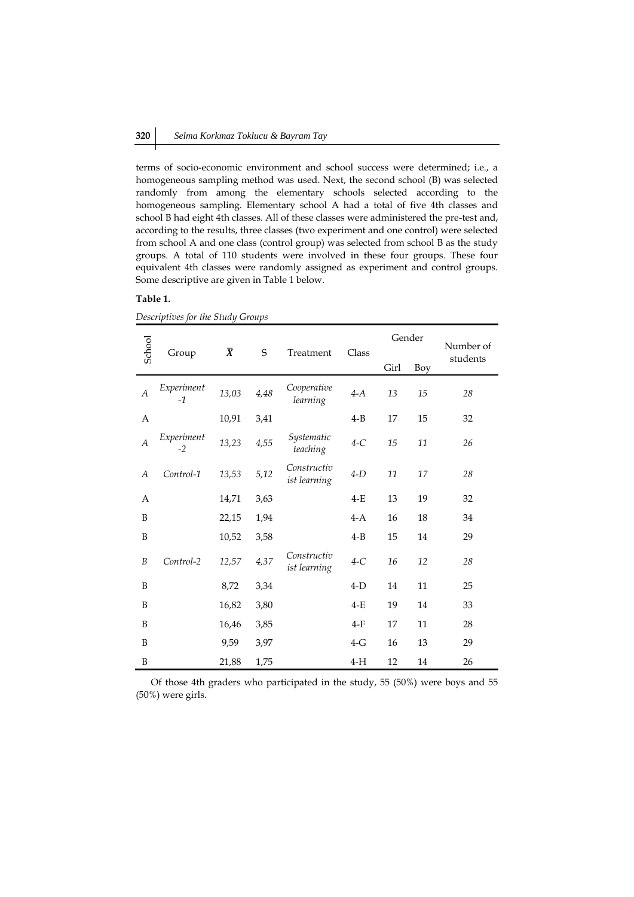terms of socio-economic environment and school success were determined; i.e., a homogeneous sampling method was used. Next, the second school (B) was selected randomly from among the elementary schools selected according to the homogeneous sampling. Elementary school A had a total of five 4th classes and school B had eight 4th classes. All of these classes were administered the pre-test and, according to the results, three classes (two experiment and one control) were selected from school A and one class (control group) was selected from school B as the study groups. A total of 110 students were involved in these four groups. These four equivalent 4th classes were randomly assigned as experiment and control groups. Some descriptive are given in Table 1 below.

## **Table 1.**

| School         |                    |                |      |                             |         | Gender |            | Number of |
|----------------|--------------------|----------------|------|-----------------------------|---------|--------|------------|-----------|
|                | Group              | $\overline{X}$ | S    | Treatment                   | Class   |        | <b>Boy</b> | students  |
| $\overline{A}$ | Experiment<br>$-1$ | 13,03          | 4,48 | Cooperative<br>learning     | $4-A$   | 13     | 15         | 28        |
| A              |                    | 10,91          | 3,41 |                             | $4 - B$ | 17     | 15         | 32        |
| $\overline{A}$ | Experiment<br>$-2$ | 13,23          | 4,55 | Systematic<br>teaching      | $4-C$   | 15     | 11         | 26        |
| A              | Control-1          | 13,53          | 5,12 | Constructiv<br>ist learning | 4-D     | 11     | 17         | 28        |
| A              |                    | 14,71          | 3,63 |                             | $4-E$   | 13     | 19         | 32        |
| B              |                    | 22,15          | 1,94 |                             | $4-A$   | 16     | 18         | 34        |
| B              |                    | 10,52          | 3,58 |                             | $4 - B$ | 15     | 14         | 29        |
| B              | Control-2          | 12,57          | 4,37 | Constructiv<br>ist learning | $4-C$   | 16     | 12         | 28        |
| B              |                    | 8,72           | 3,34 |                             | $4-D$   | 14     | 11         | 25        |
| B              |                    | 16,82          | 3,80 |                             | $4-E$   | 19     | 14         | 33        |
| B              |                    | 16,46          | 3,85 |                             | $4-F$   | 17     | 11         | 28        |
| B              |                    | 9,59           | 3,97 |                             | $4-G$   | 16     | 13         | 29        |
| B              |                    | 21,88          | 1,75 |                             | $4-H$   | 12     | 14         | 26        |

*Descriptives for the Study Groups*

Of those 4th graders who participated in the study, 55 (50%) were boys and 55 (50%) were girls.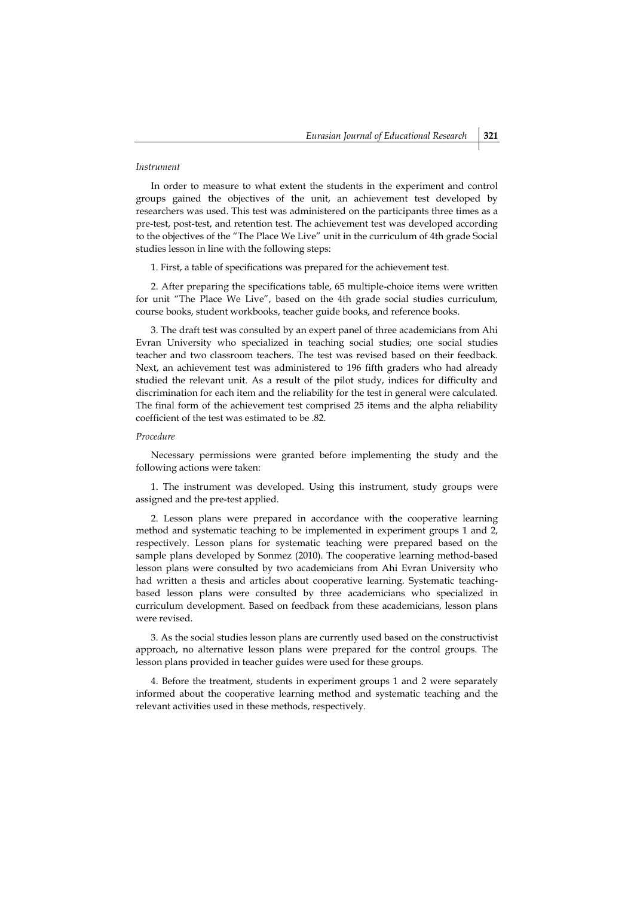#### *Instrument*

In order to measure to what extent the students in the experiment and control groups gained the objectives of the unit, an achievement test developed by researchers was used. This test was administered on the participants three times as a pre-test, post-test, and retention test. The achievement test was developed according to the objectives of the "The Place We Live" unit in the curriculum of 4th grade Social studies lesson in line with the following steps:

1. First, a table of specifications was prepared for the achievement test.

2. After preparing the specifications table, 65 multiple-choice items were written for unit "The Place We Live", based on the 4th grade social studies curriculum, course books, student workbooks, teacher guide books, and reference books.

3. The draft test was consulted by an expert panel of three academicians from Ahi Evran University who specialized in teaching social studies; one social studies teacher and two classroom teachers. The test was revised based on their feedback. Next, an achievement test was administered to 196 fifth graders who had already studied the relevant unit. As a result of the pilot study, indices for difficulty and discrimination for each item and the reliability for the test in general were calculated. The final form of the achievement test comprised 25 items and the alpha reliability coefficient of the test was estimated to be .82.

#### *Procedure*

Necessary permissions were granted before implementing the study and the following actions were taken:

1. The instrument was developed. Using this instrument, study groups were assigned and the pre-test applied.

2. Lesson plans were prepared in accordance with the cooperative learning method and systematic teaching to be implemented in experiment groups 1 and 2, respectively. Lesson plans for systematic teaching were prepared based on the sample plans developed by Sonmez (2010). The cooperative learning method-based lesson plans were consulted by two academicians from Ahi Evran University who had written a thesis and articles about cooperative learning. Systematic teachingbased lesson plans were consulted by three academicians who specialized in curriculum development. Based on feedback from these academicians, lesson plans were revised.

3. As the social studies lesson plans are currently used based on the constructivist approach, no alternative lesson plans were prepared for the control groups. The lesson plans provided in teacher guides were used for these groups.

4. Before the treatment, students in experiment groups 1 and 2 were separately informed about the cooperative learning method and systematic teaching and the relevant activities used in these methods, respectively.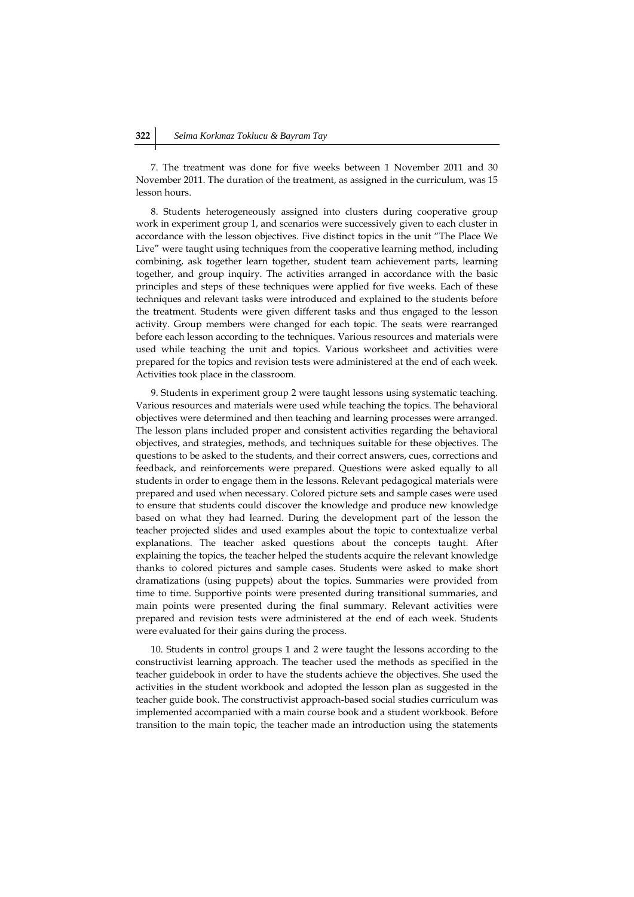7. The treatment was done for five weeks between 1 November 2011 and 30 November 2011. The duration of the treatment, as assigned in the curriculum, was 15 lesson hours.

8. Students heterogeneously assigned into clusters during cooperative group work in experiment group 1, and scenarios were successively given to each cluster in accordance with the lesson objectives. Five distinct topics in the unit "The Place We Live" were taught using techniques from the cooperative learning method, including combining, ask together learn together, student team achievement parts, learning together, and group inquiry. The activities arranged in accordance with the basic principles and steps of these techniques were applied for five weeks. Each of these techniques and relevant tasks were introduced and explained to the students before the treatment. Students were given different tasks and thus engaged to the lesson activity. Group members were changed for each topic. The seats were rearranged before each lesson according to the techniques. Various resources and materials were used while teaching the unit and topics. Various worksheet and activities were prepared for the topics and revision tests were administered at the end of each week. Activities took place in the classroom.

9. Students in experiment group 2 were taught lessons using systematic teaching. Various resources and materials were used while teaching the topics. The behavioral objectives were determined and then teaching and learning processes were arranged. The lesson plans included proper and consistent activities regarding the behavioral objectives, and strategies, methods, and techniques suitable for these objectives. The questions to be asked to the students, and their correct answers, cues, corrections and feedback, and reinforcements were prepared. Questions were asked equally to all students in order to engage them in the lessons. Relevant pedagogical materials were prepared and used when necessary. Colored picture sets and sample cases were used to ensure that students could discover the knowledge and produce new knowledge based on what they had learned. During the development part of the lesson the teacher projected slides and used examples about the topic to contextualize verbal explanations. The teacher asked questions about the concepts taught. After explaining the topics, the teacher helped the students acquire the relevant knowledge thanks to colored pictures and sample cases. Students were asked to make short dramatizations (using puppets) about the topics. Summaries were provided from time to time. Supportive points were presented during transitional summaries, and main points were presented during the final summary. Relevant activities were prepared and revision tests were administered at the end of each week. Students were evaluated for their gains during the process.

10. Students in control groups 1 and 2 were taught the lessons according to the constructivist learning approach. The teacher used the methods as specified in the teacher guidebook in order to have the students achieve the objectives. She used the activities in the student workbook and adopted the lesson plan as suggested in the teacher guide book. The constructivist approach-based social studies curriculum was implemented accompanied with a main course book and a student workbook. Before transition to the main topic, the teacher made an introduction using the statements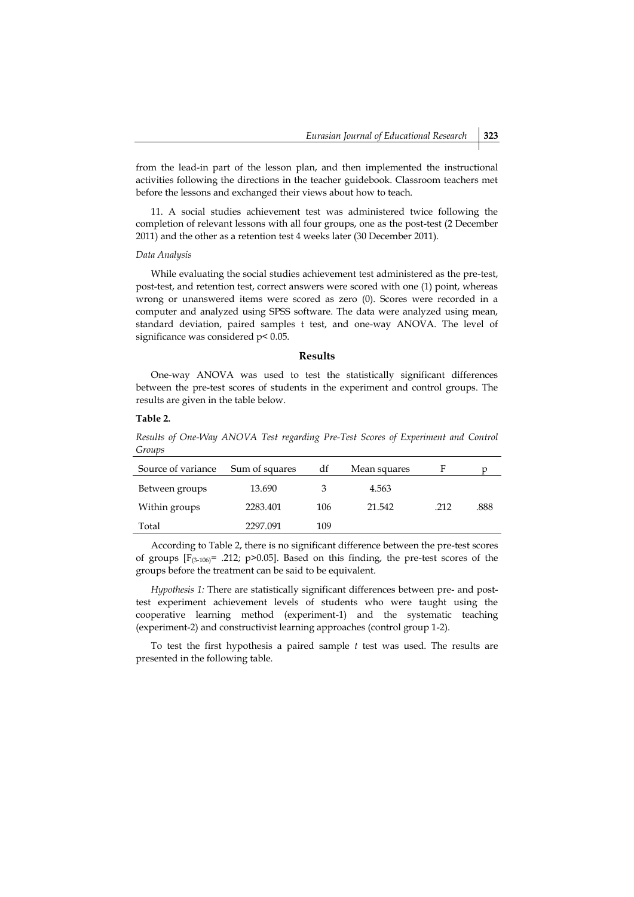from the lead-in part of the lesson plan, and then implemented the instructional activities following the directions in the teacher guidebook. Classroom teachers met before the lessons and exchanged their views about how to teach.

11. A social studies achievement test was administered twice following the completion of relevant lessons with all four groups, one as the post-test (2 December 2011) and the other as a retention test 4 weeks later (30 December 2011).

## *Data Analysis*

While evaluating the social studies achievement test administered as the pre-test, post-test, and retention test, correct answers were scored with one (1) point, whereas wrong or unanswered items were scored as zero (0). Scores were recorded in a computer and analyzed using SPSS software. The data were analyzed using mean, standard deviation, paired samples t test, and one-way ANOVA. The level of significance was considered  $p$ < 0.05.

## **Results**

One-way ANOVA was used to test the statistically significant differences between the pre-test scores of students in the experiment and control groups. The results are given in the table below.

## **Table 2.**

*Results of One-Way ANOVA Test regarding Pre-Test Scores of Experiment and Control Groups* 

| Source of variance | Sum of squares | df  | Mean squares |      |      |
|--------------------|----------------|-----|--------------|------|------|
| Between groups     | 13.690         |     | 4.563        |      |      |
| Within groups      | 2283.401       | 106 | 21.542       | .212 | .888 |
| Total              | 2297.091       | 109 |              |      |      |

According to Table 2, there is no significant difference between the pre-test scores of groups  $[F_{(3-106)} = .212; p>0.05]$ . Based on this finding, the pre-test scores of the groups before the treatment can be said to be equivalent.

*Hypothesis 1:* There are statistically significant differences between pre- and posttest experiment achievement levels of students who were taught using the cooperative learning method (experiment-1) and the systematic teaching (experiment-2) and constructivist learning approaches (control group 1-2).

To test the first hypothesis a paired sample *t* test was used. The results are presented in the following table.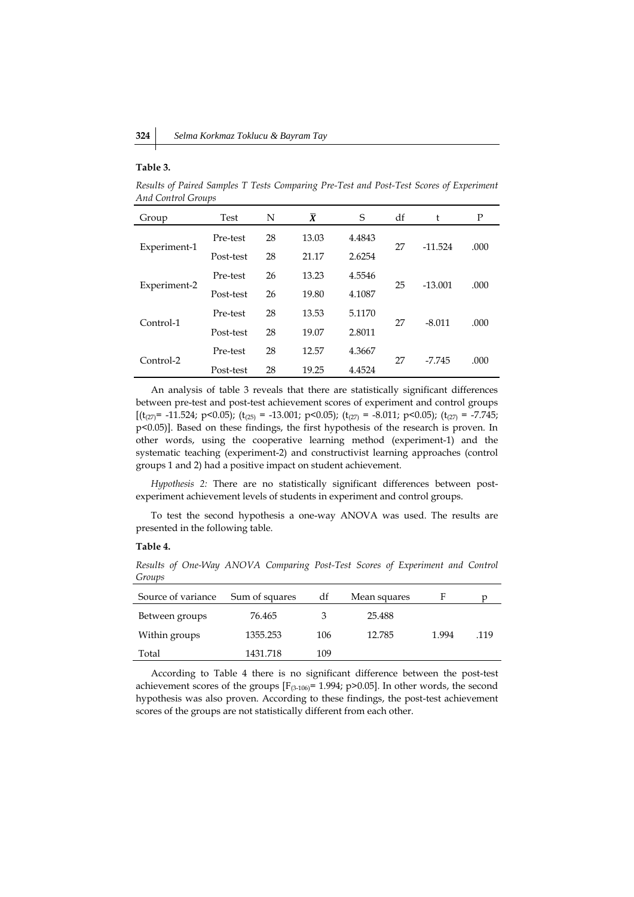#### **Table 3.**

*Results of Paired Samples T Tests Comparing Pre-Test and Post-Test Scores of Experiment And Control Groups*

| Group        | Test      | N  | $\overline{X}$ | S      | df | t         | Ρ    |
|--------------|-----------|----|----------------|--------|----|-----------|------|
|              | Pre-test  | 28 | 13.03          | 4.4843 |    |           |      |
| Experiment-1 | Post-test | 28 | 21.17          | 2.6254 | 27 | $-11.524$ | .000 |
|              | Pre-test  | 26 | 13.23          | 4.5546 |    |           |      |
| Experiment-2 | Post-test | 26 | 19.80          | 4.1087 | 25 | $-13.001$ | .000 |
| Control-1    | Pre-test  | 28 | 13.53          | 5.1170 |    | $-8.011$  |      |
|              | Post-test | 28 | 19.07          | 2.8011 | 27 |           | .000 |
| Control-2    | Pre-test  | 28 | 12.57          | 4.3667 | 27 | $-7.745$  | .000 |
|              | Post-test | 28 | 19.25          | 4.4524 |    |           |      |

An analysis of table 3 reveals that there are statistically significant differences between pre-test and post-test achievement scores of experiment and control groups  $[(t_{(27)} = -11.524; p<0.05); (t_{(25)} = -13.001; p<0.05); (t_{(27)} = -8.011; p<0.05); (t_{(27)} = -7.745;$ p<0.05)]. Based on these findings, the first hypothesis of the research is proven. In other words, using the cooperative learning method (experiment-1) and the systematic teaching (experiment-2) and constructivist learning approaches (control groups 1 and 2) had a positive impact on student achievement.

*Hypothesis 2:* There are no statistically significant differences between postexperiment achievement levels of students in experiment and control groups.

To test the second hypothesis a one-way ANOVA was used. The results are presented in the following table.

#### **Table 4.**

*Results of One-Way ANOVA Comparing Post-Test Scores of Experiment and Control Groups*

| Source of variance | Sum of squares | df  | Mean squares |       |      |
|--------------------|----------------|-----|--------------|-------|------|
| Between groups     | 76.465         |     | 25.488       |       |      |
| Within groups      | 1355.253       | 106 | 12.785       | 1.994 | .119 |
| Total              | 1431.718       | 109 |              |       |      |

According to Table 4 there is no significant difference between the post-test achievement scores of the groups  $[F_{(3-106)}= 1.994; p>0.05]$ . In other words, the second hypothesis was also proven. According to these findings, the post-test achievement scores of the groups are not statistically different from each other.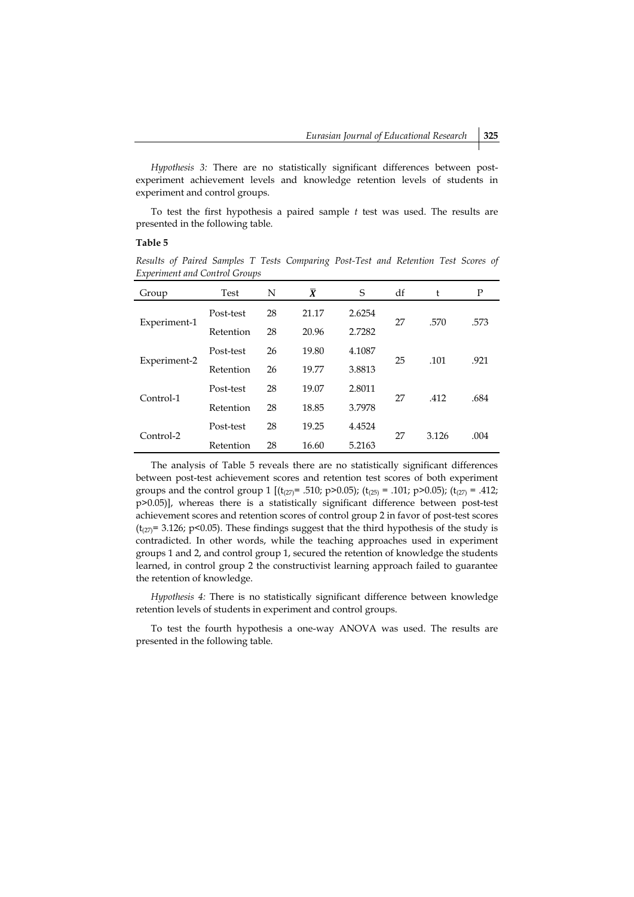*Hypothesis 3:* There are no statistically significant differences between postexperiment achievement levels and knowledge retention levels of students in experiment and control groups.

To test the first hypothesis a paired sample *t* test was used. The results are presented in the following table.

## **Table 5**

*Results of Paired Samples T Tests Comparing Post-Test and Retention Test Scores of Experiment and Control Groups*

| Group        | Test      | N  | $\bar{X}$ | S      | df | t     | P    |
|--------------|-----------|----|-----------|--------|----|-------|------|
|              | Post-test | 28 | 21.17     | 2.6254 |    |       |      |
| Experiment-1 | Retention | 28 | 20.96     | 2.7282 | 27 | .570  | .573 |
|              | Post-test | 26 | 19.80     | 4.1087 |    |       |      |
| Experiment-2 | Retention | 26 | 19.77     | 3.8813 | 25 | .101  | .921 |
|              | Post-test | 28 | 19.07     | 2.8011 |    |       |      |
| Control-1    | Retention | 28 | 18.85     | 3.7978 | 27 | .412  | .684 |
|              | Post-test | 28 | 19.25     | 4.4524 |    |       |      |
| Control-2    | Retention | 28 | 16.60     | 5.2163 | 27 | 3.126 | .004 |

The analysis of Table 5 reveals there are no statistically significant differences between post-test achievement scores and retention test scores of both experiment groups and the control group 1 [ $(t_{(27)}$  = .510; p>0.05);  $(t_{(25)}$  = .101; p>0.05);  $(t_{(27)}$  = .412; p>0.05)], whereas there is a statistically significant difference between post-test achievement scores and retention scores of control group 2 in favor of post-test scores ( $t_{(27)}$ = 3.126; p<0.05). These findings suggest that the third hypothesis of the study is contradicted. In other words, while the teaching approaches used in experiment groups 1 and 2, and control group 1, secured the retention of knowledge the students learned, in control group 2 the constructivist learning approach failed to guarantee the retention of knowledge.

*Hypothesis 4:* There is no statistically significant difference between knowledge retention levels of students in experiment and control groups.

To test the fourth hypothesis a one-way ANOVA was used. The results are presented in the following table.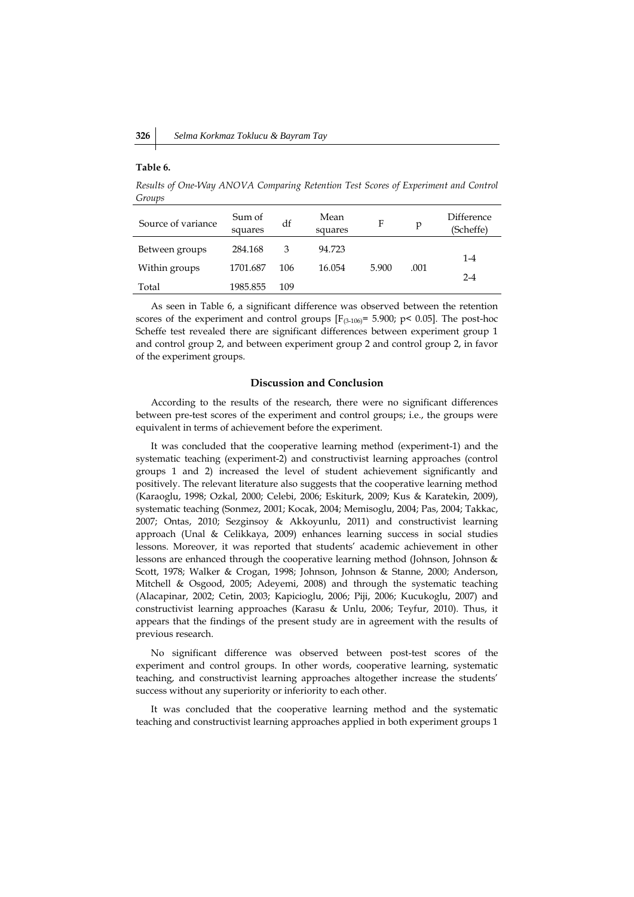#### **Table 6.**

*Results of One-Way ANOVA Comparing Retention Test Scores of Experiment and Control Groups*

| Source of variance | Sum of<br>squares | df  | Mean<br>squares | F     | p    | <b>Difference</b><br>(Scheffe) |
|--------------------|-------------------|-----|-----------------|-------|------|--------------------------------|
| Between groups     | 284.168           | 3   | 94.723          |       |      | $1 - 4$                        |
| Within groups      | 1701.687          | 106 | 16.054          | 5.900 | .001 | $2 - 4$                        |
| Total              | 1985.855          | 109 |                 |       |      |                                |

As seen in Table 6, a significant difference was observed between the retention scores of the experiment and control groups  $[F_{(3-106)} = 5.900; p < 0.05]$ . The post-hoc Scheffe test revealed there are significant differences between experiment group 1 and control group 2, and between experiment group 2 and control group 2, in favor of the experiment groups.

#### **Discussion and Conclusion**

According to the results of the research, there were no significant differences between pre-test scores of the experiment and control groups; i.e., the groups were equivalent in terms of achievement before the experiment.

It was concluded that the cooperative learning method (experiment-1) and the systematic teaching (experiment-2) and constructivist learning approaches (control groups 1 and 2) increased the level of student achievement significantly and positively. The relevant literature also suggests that the cooperative learning method (Karaoglu, 1998; Ozkal, 2000; Celebi, 2006; Eskiturk, 2009; Kus & Karatekin, 2009), systematic teaching (Sonmez, 2001; Kocak, 2004; Memisoglu, 2004; Pas, 2004; Takkac, 2007; Ontas, 2010; Sezginsoy & Akkoyunlu, 2011) and constructivist learning approach (Unal & Celikkaya, 2009) enhances learning success in social studies lessons. Moreover, it was reported that students' academic achievement in other lessons are enhanced through the cooperative learning method (Johnson, Johnson & Scott, 1978; Walker & Crogan, 1998; Johnson, Johnson & Stanne, 2000; Anderson, Mitchell & Osgood, 2005; Adeyemi, 2008) and through the systematic teaching (Alacapinar, 2002; Cetin, 2003; Kapicioglu, 2006; Piji, 2006; Kucukoglu, 2007) and constructivist learning approaches (Karasu & Unlu, 2006; Teyfur, 2010). Thus, it appears that the findings of the present study are in agreement with the results of previous research.

No significant difference was observed between post-test scores of the experiment and control groups. In other words, cooperative learning, systematic teaching, and constructivist learning approaches altogether increase the students' success without any superiority or inferiority to each other.

It was concluded that the cooperative learning method and the systematic teaching and constructivist learning approaches applied in both experiment groups 1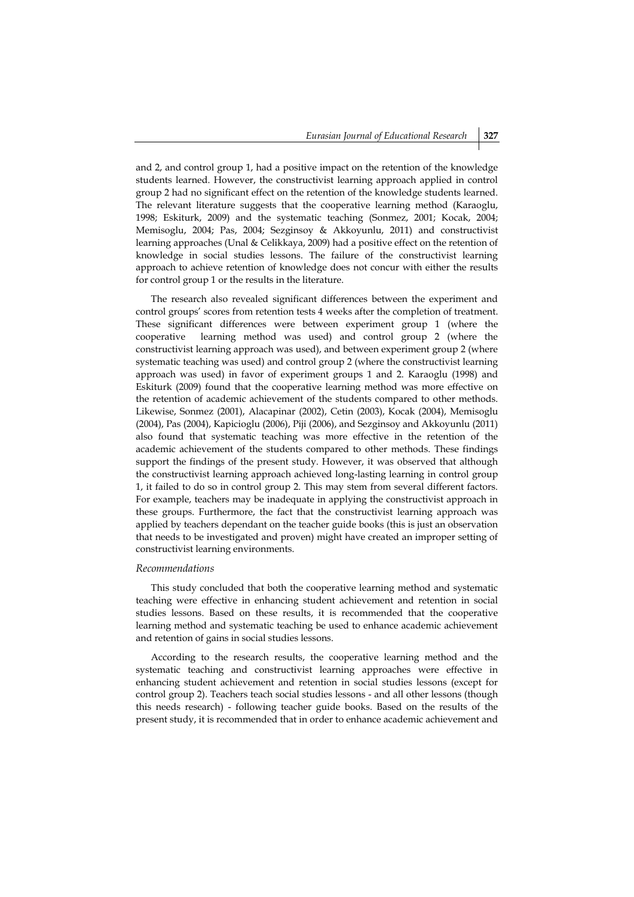and 2, and control group 1, had a positive impact on the retention of the knowledge students learned. However, the constructivist learning approach applied in control group 2 had no significant effect on the retention of the knowledge students learned. The relevant literature suggests that the cooperative learning method (Karaoglu, 1998; Eskiturk, 2009) and the systematic teaching (Sonmez, 2001; Kocak, 2004; Memisoglu, 2004; Pas, 2004; Sezginsoy & Akkoyunlu, 2011) and constructivist learning approaches (Unal & Celikkaya, 2009) had a positive effect on the retention of knowledge in social studies lessons. The failure of the constructivist learning approach to achieve retention of knowledge does not concur with either the results for control group 1 or the results in the literature.

The research also revealed significant differences between the experiment and control groups' scores from retention tests 4 weeks after the completion of treatment. These significant differences were between experiment group 1 (where the cooperative learning method was used) and control group 2 (where the constructivist learning approach was used), and between experiment group 2 (where systematic teaching was used) and control group 2 (where the constructivist learning approach was used) in favor of experiment groups 1 and 2. Karaoglu (1998) and Eskiturk (2009) found that the cooperative learning method was more effective on the retention of academic achievement of the students compared to other methods. Likewise, Sonmez (2001), Alacapinar (2002), Cetin (2003), Kocak (2004), Memisoglu (2004), Pas (2004), Kapicioglu (2006), Piji (2006), and Sezginsoy and Akkoyunlu (2011) also found that systematic teaching was more effective in the retention of the academic achievement of the students compared to other methods. These findings support the findings of the present study. However, it was observed that although the constructivist learning approach achieved long-lasting learning in control group 1, it failed to do so in control group 2. This may stem from several different factors. For example, teachers may be inadequate in applying the constructivist approach in these groups. Furthermore, the fact that the constructivist learning approach was applied by teachers dependant on the teacher guide books (this is just an observation that needs to be investigated and proven) might have created an improper setting of constructivist learning environments.

## *Recommendations*

This study concluded that both the cooperative learning method and systematic teaching were effective in enhancing student achievement and retention in social studies lessons. Based on these results, it is recommended that the cooperative learning method and systematic teaching be used to enhance academic achievement and retention of gains in social studies lessons.

According to the research results, the cooperative learning method and the systematic teaching and constructivist learning approaches were effective in enhancing student achievement and retention in social studies lessons (except for control group 2). Teachers teach social studies lessons - and all other lessons (though this needs research) - following teacher guide books. Based on the results of the present study, it is recommended that in order to enhance academic achievement and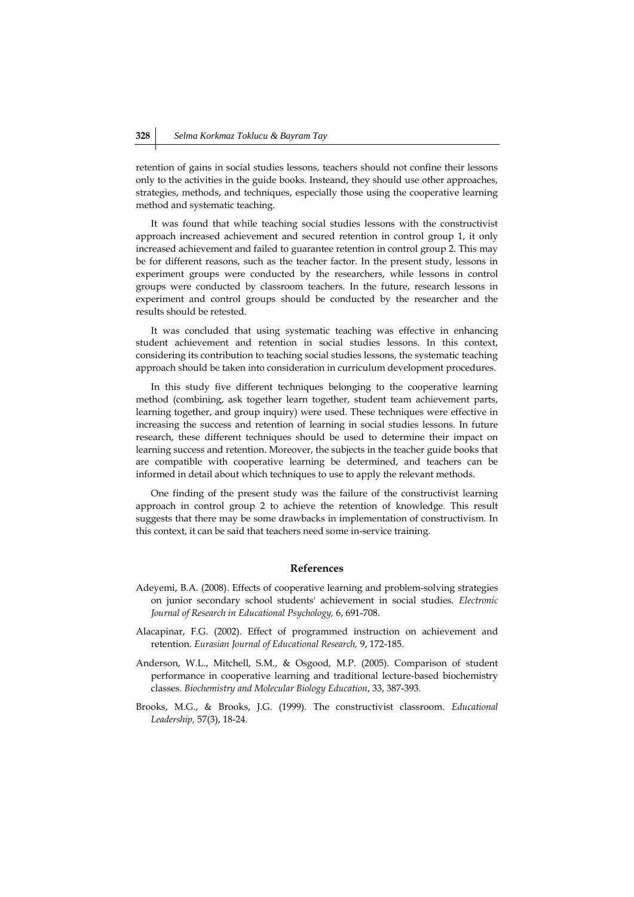retention of gains in social studies lessons, teachers should not confine their lessons only to the activities in the guide books. Insteand, they should use other approaches, strategies, methods, and techniques, especially those using the cooperative learning method and systematic teaching.

It was found that while teaching social studies lessons with the constructivist approach increased achievement and secured retention in control group 1, it only increased achievement and failed to guarantee retention in control group 2. This may be for different reasons, such as the teacher factor. In the present study, lessons in experiment groups were conducted by the researchers, while lessons in control groups were conducted by classroom teachers. In the future, research lessons in experiment and control groups should be conducted by the researcher and the results should be retested.

It was concluded that using systematic teaching was effective in enhancing student achievement and retention in social studies lessons. In this context, considering its contribution to teaching social studies lessons, the systematic teaching approach should be taken into consideration in curriculum development procedures.

In this study five different techniques belonging to the cooperative learning method (combining, ask together learn together, student team achievement parts, learning together, and group inquiry) were used. These techniques were effective in increasing the success and retention of learning in social studies lessons. In future research, these different techniques should be used to determine their impact on learning success and retention. Moreover, the subjects in the teacher guide books that are compatible with cooperative learning be determined, and teachers can be informed in detail about which techniques to use to apply the relevant methods.

One finding of the present study was the failure of the constructivist learning approach in control group 2 to achieve the retention of knowledge. This result suggests that there may be some drawbacks in implementation of constructivism. In this context, it can be said that teachers need some in-service training.

## **References**

- Adeyemi, B.A. (2008). Effects of cooperative learning and problem-solving strategies on junior secondary school students' achievement in social studies. *Electronic Journal of Research in Educational Psychology,* 6, 691-708.
- Alacapinar, F.G. (2002). Effect of programmed instruction on achievement and retention. *Eurasian Journal of Educational Research,* 9, 172-185.
- Anderson, W.L., Mitchell, S.M., & Osgood, M.P. (2005). Comparison of student performance in cooperative learning and traditional lecture-based biochemistry classes. *Biochemistry and Molecular Biology Education*, 33, 387-393.
- Brooks, M.G., & Brooks, J.G. (1999). The constructivist classroom. *Educational Leadership,* 57(3), 18-24.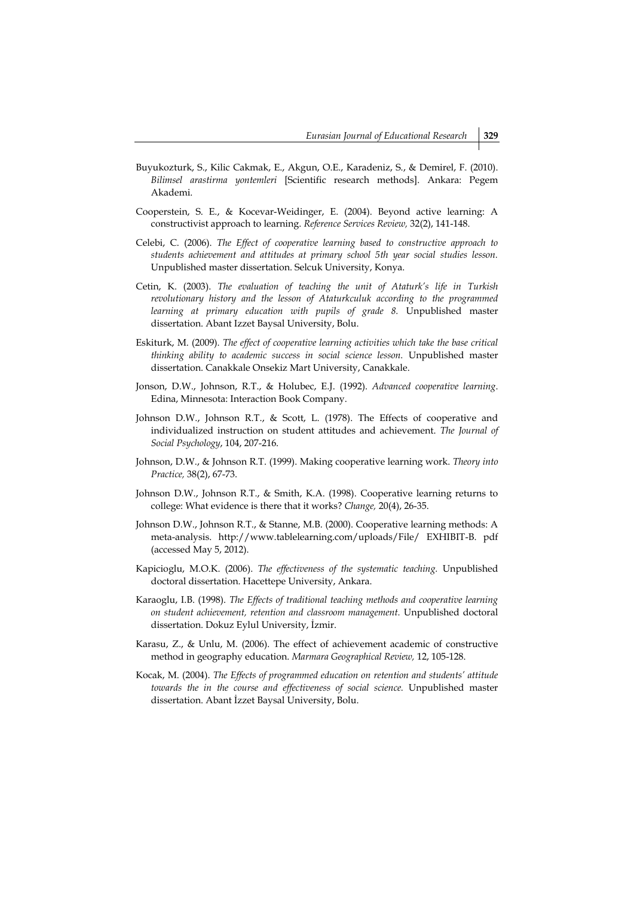- Buyukozturk, S., Kilic Cakmak, E., Akgun, O.E., Karadeniz, S., & Demirel, F. (2010). *Bilimsel arastirma yontemleri* [Scientific research methods]. Ankara: Pegem Akademi.
- Cooperstein, S. E., & Kocevar-Weidinger, E. (2004). Beyond active learning: A constructivist approach to learning. *Reference Services Review,* 32(2), 141-148.
- Celebi, C. (2006). *The Effect of cooperative learning based to constructive approach to students achievement and attitudes at primary school 5th year social studies lesson.*  Unpublished master dissertation. Selcuk University, Konya.
- Cetin, K. (2003). *The evaluation of teaching the unit of Ataturk's life in Turkish revolutionary history and the lesson of Ataturkculuk according to the programmed learning at primary education with pupils of grade 8.* Unpublished master dissertation. Abant Izzet Baysal University, Bolu.
- Eskiturk, M. (2009). *The effect of cooperative learning activities which take the base critical thinking ability to academic success in social science lesson.* Unpublished master dissertation. Canakkale Onsekiz Mart University, Canakkale.
- Jonson, D.W., Johnson, R.T., & Holubec, E.J. (1992). *Advanced cooperative learning*. Edina, Minnesota: Interaction Book Company.
- Johnson D.W., Johnson R.T., & Scott, L. (1978). The Effects of cooperative and individualized instruction on student attitudes and achievement. *The Journal of Social Psychology*, 104, 207-216.
- Johnson, D.W., & Johnson R.T. (1999). Making cooperative learning work. *Theory into Practice,* 38(2), 67-73.
- Johnson D.W., Johnson R.T., & Smith, K.A. (1998). Cooperative learning returns to college: What evidence is there that it works? *Change,* 20(4), 26-35.
- Johnson D.W., Johnson R.T., & Stanne, M.B. (2000). Cooperative learning methods: A meta-analysis. [http://www.tablelearning.com/uploads/File/ EXHIBIT-B. pdf](http://www.tablelearning.com/uploads/File/%20EXHIBIT-B.%20pdf%20adresinden%2017.%2005)  [\(accessed May 5, 2012\).](http://www.tablelearning.com/uploads/File/%20EXHIBIT-B.%20pdf%20adresinden%2017.%2005)
- Kapicioglu, M.O.K. (2006). *The effectiveness of the systematic teaching.* Unpublished doctoral dissertation. Hacettepe University, Ankara.
- Karaoglu, I.B. (1998). *The Effects of traditional teaching methods and cooperative learning on student achievement, retention and classroom management.* Unpublished doctoral dissertation. Dokuz Eylul University, İzmir.
- Karasu, Z., & Unlu, M. (2006). The effect of achievement academic of constructive method in geography education. *Marmara Geographical Review,* 12, 105-128.
- Kocak, M. (2004). *The Effects of programmed education on retention and students' attitude towards the in the course and effectiveness of social science.* Unpublished master dissertation. Abant İzzet Baysal University, Bolu.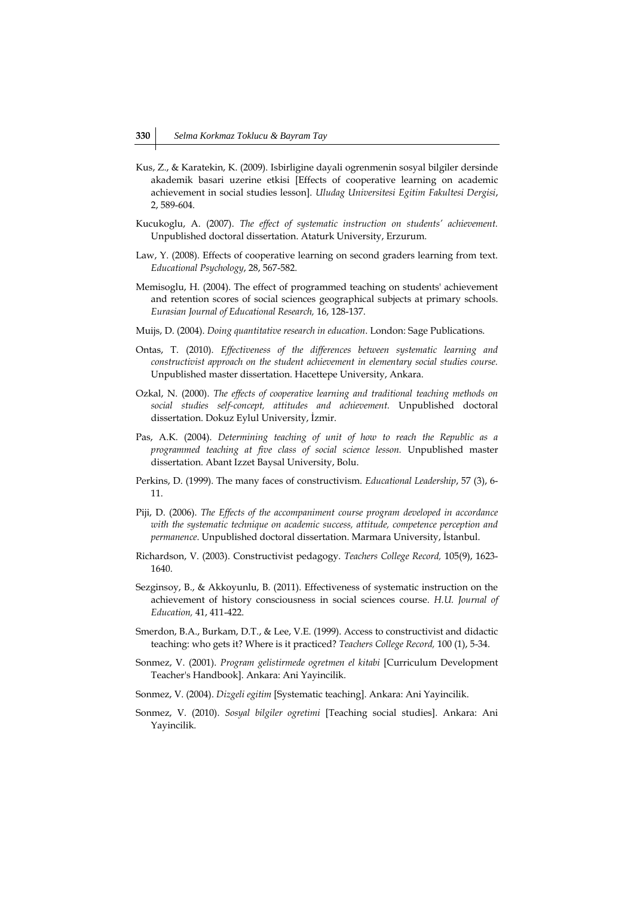- Kus, Z., & Karatekin, K. (2009). Isbirligine dayali ogrenmenin sosyal bilgiler dersinde akademik basari uzerine etkisi [Effects of cooperative learning on academic achievement in social studies lesson]. *Uludag Universitesi Egitim Fakultesi Dergisi*, 2, 589-604.
- Kucukoglu, A. (2007). *The effect of systematic instruction on students' achievement.* Unpublished doctoral dissertation. Ataturk University, Erzurum.
- Law, Y. (2008). Effects of cooperative learning on second graders learning from text. *Educational Psychology*, 28, 567-582.
- Memisoglu, H. (2004). The effect of programmed teaching on students' achievement and retention scores of social sciences geographical subjects at primary schools. *Eurasian Journal of Educational Research,* 16, 128-137.
- Muijs, D. (2004). *Doing quantitative research in education*. London: Sage Publications.
- Ontas, T. (2010). *Effectiveness of the differences between systematic learning and constructivist approach on the student achievement in elementary social studies course.*  Unpublished master dissertation. Hacettepe University, Ankara.
- Ozkal, N. (2000). *The effects of cooperative learning and traditional teaching methods on social studies self-concept, attitudes and achievement.* Unpublished doctoral dissertation. Dokuz Eylul University, İzmir.
- Pas, A.K. (2004). *Determining teaching of unit of how to reach the Republic as a programmed teaching at five class of social science lesson.* Unpublished master dissertation. Abant Izzet Baysal University, Bolu.
- Perkins, D. (1999). The many faces of constructivism. *Educational Leadership*, 57 (3), 6- 11.
- Piji, D. (2006). *The Effects of the accompaniment course program developed in accordance with the systematic technique on academic success, attitude, competence perception and permanence*. Unpublished doctoral dissertation. Marmara University, İstanbul.
- Richardson, V. (2003). Constructivist pedagogy. *Teachers College Record,* 105(9), 1623- 1640.
- Sezginsoy, B., & Akkoyunlu, B. (2011). Effectiveness of systematic instruction on the achievement of history consciousness in social sciences course. *H.U. Journal of Education,* 41, 411-422.
- Smerdon, B.A., Burkam, D.T., & Lee, V.E. (1999). Access to constructivist and didactic teaching: who gets it? Where is it practiced? *Teachers College Record,* 100 (1), 5-34.
- Sonmez, V. (2001). *Program gelistirmede ogretmen el kitabi* [Curriculum Development Teacher's Handbook]. Ankara: Ani Yayincilik.
- Sonmez, V. (2004). *Dizgeli egitim* [Systematic teaching]. Ankara: Ani Yayincilik.
- Sonmez, V. (2010). *Sosyal bilgiler ogretimi* [Teaching social studies]. Ankara: Ani Yayincilik.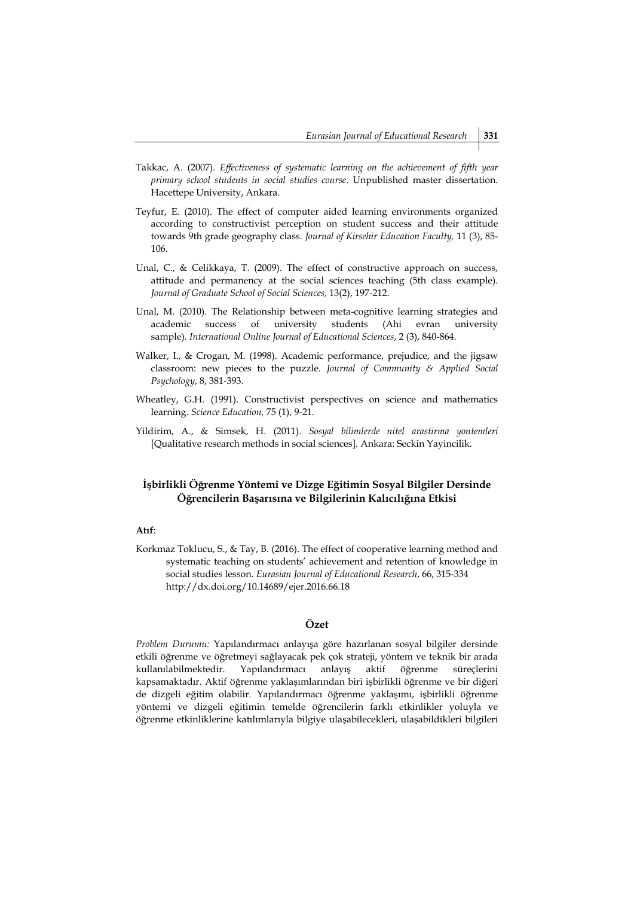- Takkac, A. (2007). *Effectiveness of systematic learning on the achievement of fifth year primary school students in social studies course*. Unpublished master dissertation. Hacettepe University, Ankara.
- Teyfur, E. (2010). The effect of computer aided learning environments organized according to constructivist perception on student success and their attitude towards 9th grade geography class. *Journal of Kirsehir Education Faculty,* 11 (3), 85- 106.
- Unal, C., & Celikkaya, T. (2009). The effect of constructive approach on success, attitude and permanency at the social sciences teaching (5th class example). *Journal of Graduate School of Social Sciences,* 13(2), 197-212.
- [Unal, M. \(2010\). The Relationship between meta-cognitive learning strategies and](http://www.iojes.net/userfiles/Article/IOJES_296.pdf)  academic success of university [students \(Ahi evran university](http://www.iojes.net/userfiles/Article/IOJES_296.pdf)  sample). *[International Online Journal of Educational Sciences](http://www.iojes.net/userfiles/Article/IOJES_296.pdf)*, 2 (3), 840-864.
- Walker, I., & Crogan, M. (1998). Academic performance, prejudice, and the jigsaw classroom: new pieces to the puzzle. *Journal of Community & Applied Social Psychology*, 8, 381-393.
- Wheatley, G.H. (1991). Constructivist perspectives on science and mathematics learning. *Science Education,* 75 (1), 9-21.
- Yildirim, A., & Simsek, H. (2011). *Sosyal bilimlerde nitel arastirma yontemleri*  [Qualitative research methods in social sciences]. Ankara: Seckin Yayincilik.

## **İşbirlikli Öğrenme Yöntemi ve Dizge Eğitimin Sosyal Bilgiler Dersinde Öğrencilerin Başarısına ve Bilgilerinin Kalıcılığına Etkisi**

## **Atıf**:

Korkmaz Toklucu, S., & Tay, B. (2016). The effect of cooperative learning method and systematic teaching on students' achievement and retention of knowledge in social studies lesson. *Eurasian Journal of Educational Research*, 66, 315-334 http://dx.doi.org/10.14689/ejer.2016.66.18

## **Özet**

*Problem Durumu:* Yapılandırmacı anlayışa göre hazırlanan sosyal bilgiler dersinde etkili öğrenme ve öğretmeyi sağlayacak pek çok strateji, yöntem ve teknik bir arada kullanılabilmektedir. Yapılandırmacı anlayış aktif öğrenme süreçlerini kapsamaktadır. Aktif öğrenme yaklaşımlarından biri işbirlikli öğrenme ve bir diğeri de dizgeli eğitim olabilir. Yapılandırmacı öğrenme yaklaşımı, işbirlikli öğrenme yöntemi ve dizgeli eğitimin temelde öğrencilerin farklı etkinlikler yoluyla ve öğrenme etkinliklerine katılımlarıyla bilgiye ulaşabilecekleri, ulaşabildikleri bilgileri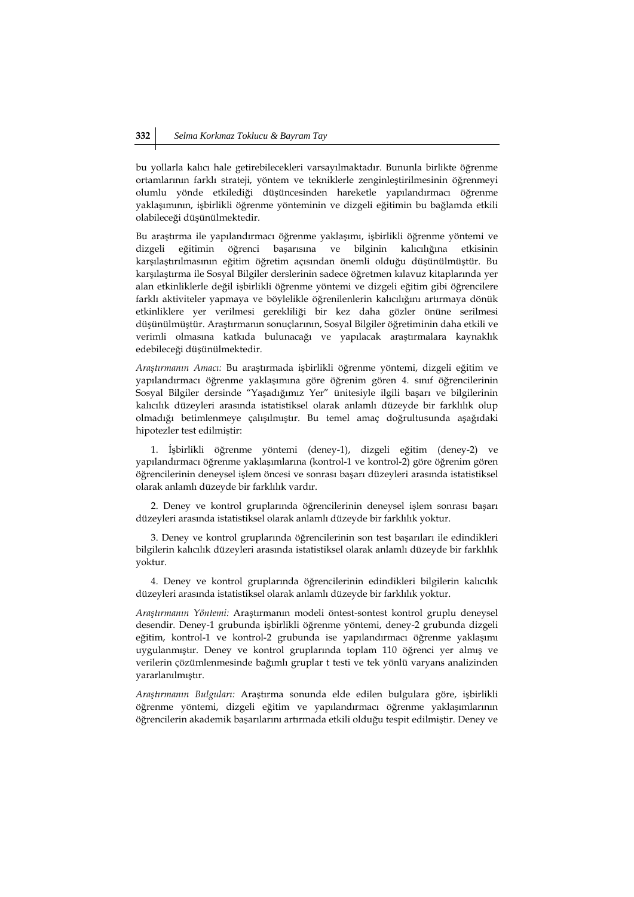bu yollarla kalıcı hale getirebilecekleri varsayılmaktadır. Bununla birlikte öğrenme ortamlarının farklı strateji, yöntem ve tekniklerle zenginleştirilmesinin öğrenmeyi olumlu yönde etkilediği düşüncesinden hareketle yapılandırmacı öğrenme yaklaşımının, işbirlikli öğrenme yönteminin ve dizgeli eğitimin bu bağlamda etkili olabileceği düşünülmektedir.

Bu araştırma ile yapılandırmacı öğrenme yaklaşımı, işbirlikli öğrenme yöntemi ve dizgeli eğitimin öğrenci başarısına ve bilginin kalıcılığına etkisinin karşılaştırılmasının eğitim öğretim açısından önemli olduğu düşünülmüştür. Bu karşılaştırma ile Sosyal Bilgiler derslerinin sadece öğretmen kılavuz kitaplarında yer alan etkinliklerle değil işbirlikli öğrenme yöntemi ve dizgeli eğitim gibi öğrencilere farklı aktiviteler yapmaya ve böylelikle öğrenilenlerin kalıcılığını artırmaya dönük etkinliklere yer verilmesi gerekliliği bir kez daha gözler önüne serilmesi düşünülmüştür. Araştırmanın sonuçlarının, Sosyal Bilgiler öğretiminin daha etkili ve verimli olmasına katkıda bulunacağı ve yapılacak araştırmalara kaynaklık edebileceği düşünülmektedir.

*Araştırmanın Amacı:* Bu araştırmada işbirlikli öğrenme yöntemi, dizgeli eğitim ve yapılandırmacı öğrenme yaklaşımına göre öğrenim gören 4. sınıf öğrencilerinin Sosyal Bilgiler dersinde "Yaşadığımız Yer" ünitesiyle ilgili başarı ve bilgilerinin kalıcılık düzeyleri arasında istatistiksel olarak anlamlı düzeyde bir farklılık olup olmadığı betimlenmeye çalışılmıştır. Bu temel amaç doğrultusunda aşağıdaki hipotezler test edilmiştir:

1. İşbirlikli öğrenme yöntemi (deney-1), dizgeli eğitim (deney-2) ve yapılandırmacı öğrenme yaklaşımlarına (kontrol-1 ve kontrol-2) göre öğrenim gören öğrencilerinin deneysel işlem öncesi ve sonrası başarı düzeyleri arasında istatistiksel olarak anlamlı düzeyde bir farklılık vardır.

2. Deney ve kontrol gruplarında öğrencilerinin deneysel işlem sonrası başarı düzeyleri arasında istatistiksel olarak anlamlı düzeyde bir farklılık yoktur.

3. Deney ve kontrol gruplarında öğrencilerinin son test başarıları ile edindikleri bilgilerin kalıcılık düzeyleri arasında istatistiksel olarak anlamlı düzeyde bir farklılık yoktur.

4. Deney ve kontrol gruplarında öğrencilerinin edindikleri bilgilerin kalıcılık düzeyleri arasında istatistiksel olarak anlamlı düzeyde bir farklılık yoktur.

*Araştırmanın Yöntemi:* Araştırmanın modeli öntest-sontest kontrol gruplu deneysel desendir. Deney-1 grubunda işbirlikli öğrenme yöntemi, deney-2 grubunda dizgeli eğitim, kontrol-1 ve kontrol-2 grubunda ise yapılandırmacı öğrenme yaklaşımı uygulanmıştır. Deney ve kontrol gruplarında toplam 110 öğrenci yer almış ve verilerin çözümlenmesinde bağımlı gruplar t testi ve tek yönlü varyans analizinden yararlanılmıştır.

*Araştırmanın Bulguları:* Araştırma sonunda elde edilen bulgulara göre, işbirlikli öğrenme yöntemi, dizgeli eğitim ve yapılandırmacı öğrenme yaklaşımlarının öğrencilerin akademik başarılarını artırmada etkili olduğu tespit edilmiştir. Deney ve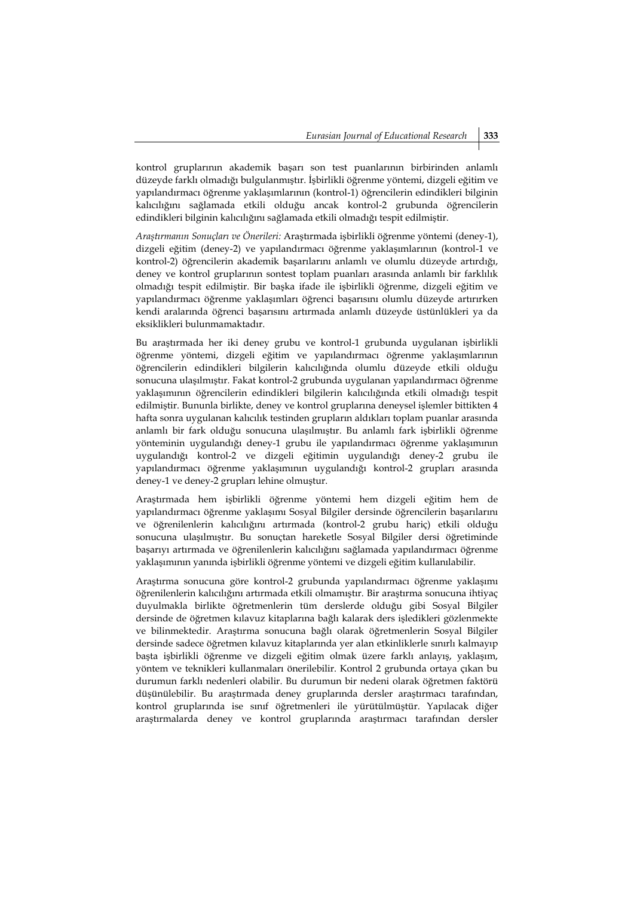kontrol gruplarının akademik başarı son test puanlarının birbirinden anlamlı düzeyde farklı olmadığı bulgulanmıştır. İşbirlikli öğrenme yöntemi, dizgeli eğitim ve yapılandırmacı öğrenme yaklaşımlarının (kontrol-1) öğrencilerin edindikleri bilginin kalıcılığını sağlamada etkili olduğu ancak kontrol-2 grubunda öğrencilerin edindikleri bilginin kalıcılığını sağlamada etkili olmadığı tespit edilmiştir.

*Araştırmanın Sonuçları ve Önerileri:* Araştırmada işbirlikli öğrenme yöntemi (deney-1), dizgeli eğitim (deney-2) ve yapılandırmacı öğrenme yaklaşımlarının (kontrol-1 ve kontrol-2) öğrencilerin akademik başarılarını anlamlı ve olumlu düzeyde artırdığı, deney ve kontrol gruplarının sontest toplam puanları arasında anlamlı bir farklılık olmadığı tespit edilmiştir. Bir başka ifade ile işbirlikli öğrenme, dizgeli eğitim ve yapılandırmacı öğrenme yaklaşımları öğrenci başarısını olumlu düzeyde artırırken kendi aralarında öğrenci başarısını artırmada anlamlı düzeyde üstünlükleri ya da eksiklikleri bulunmamaktadır.

Bu araştırmada her iki deney grubu ve kontrol-1 grubunda uygulanan işbirlikli öğrenme yöntemi, dizgeli eğitim ve yapılandırmacı öğrenme yaklaşımlarının öğrencilerin edindikleri bilgilerin kalıcılığında olumlu düzeyde etkili olduğu sonucuna ulaşılmıştır. Fakat kontrol-2 grubunda uygulanan yapılandırmacı öğrenme yaklaşımının öğrencilerin edindikleri bilgilerin kalıcılığında etkili olmadığı tespit edilmiştir. Bununla birlikte, deney ve kontrol gruplarına deneysel işlemler bittikten 4 hafta sonra uygulanan kalıcılık testinden grupların aldıkları toplam puanlar arasında anlamlı bir fark olduğu sonucuna ulaşılmıştır. Bu anlamlı fark işbirlikli öğrenme yönteminin uygulandığı deney-1 grubu ile yapılandırmacı öğrenme yaklaşımının uygulandığı kontrol-2 ve dizgeli eğitimin uygulandığı deney-2 grubu ile yapılandırmacı öğrenme yaklaşımının uygulandığı kontrol-2 grupları arasında deney-1 ve deney-2 grupları lehine olmuştur.

Araştırmada hem işbirlikli öğrenme yöntemi hem dizgeli eğitim hem de yapılandırmacı öğrenme yaklaşımı Sosyal Bilgiler dersinde öğrencilerin başarılarını ve öğrenilenlerin kalıcılığını artırmada (kontrol-2 grubu hariç) etkili olduğu sonucuna ulaşılmıştır. Bu sonuçtan hareketle Sosyal Bilgiler dersi öğretiminde başarıyı artırmada ve öğrenilenlerin kalıcılığını sağlamada yapılandırmacı öğrenme yaklaşımının yanında işbirlikli öğrenme yöntemi ve dizgeli eğitim kullanılabilir.

Araştırma sonucuna göre kontrol-2 grubunda yapılandırmacı öğrenme yaklaşımı öğrenilenlerin kalıcılığını artırmada etkili olmamıştır. Bir araştırma sonucuna ihtiyaç duyulmakla birlikte öğretmenlerin tüm derslerde olduğu gibi Sosyal Bilgiler dersinde de öğretmen kılavuz kitaplarına bağlı kalarak ders işledikleri gözlenmekte ve bilinmektedir. Araştırma sonucuna bağlı olarak öğretmenlerin Sosyal Bilgiler dersinde sadece öğretmen kılavuz kitaplarında yer alan etkinliklerle sınırlı kalmayıp başta işbirlikli öğrenme ve dizgeli eğitim olmak üzere farklı anlayış, yaklaşım, yöntem ve teknikleri kullanmaları önerilebilir. Kontrol 2 grubunda ortaya çıkan bu durumun farklı nedenleri olabilir. Bu durumun bir nedeni olarak öğretmen faktörü düşünülebilir. Bu araştırmada deney gruplarında dersler araştırmacı tarafından, kontrol gruplarında ise sınıf öğretmenleri ile yürütülmüştür. Yapılacak diğer araştırmalarda deney ve kontrol gruplarında araştırmacı tarafından dersler